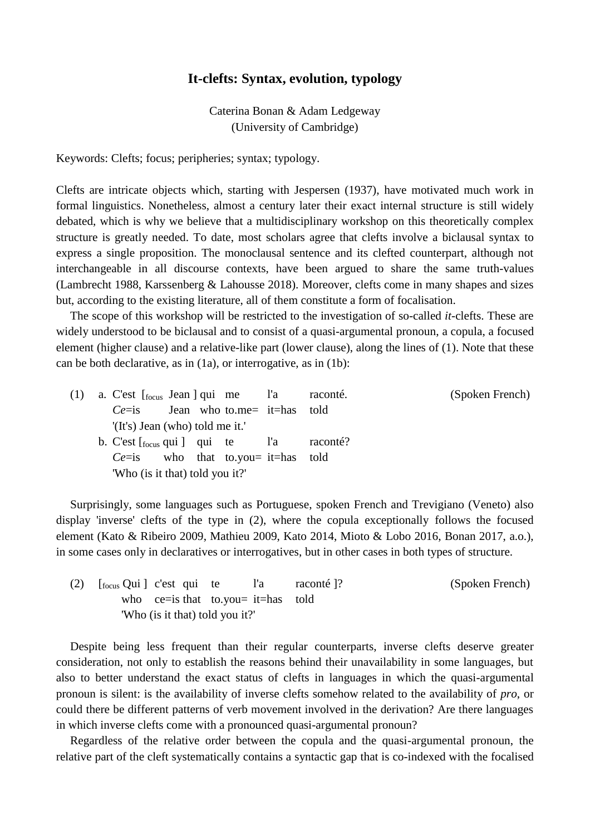## **It-clefts: Syntax, evolution, typology**

Caterina Bonan & Adam Ledgeway (University of Cambridge)

Keywords: Clefts; focus; peripheries; syntax; typology.

Clefts are intricate objects which, starting with Jespersen (1937), have motivated much work in formal linguistics. Nonetheless, almost a century later their exact internal structure is still widely debated, which is why we believe that a multidisciplinary workshop on this theoretically complex structure is greatly needed. To date, most scholars agree that clefts involve a biclausal syntax to express a single proposition. The monoclausal sentence and its clefted counterpart, although not interchangeable in all discourse contexts, have been argued to share the same truth-values (Lambrecht 1988, Karssenberg & Lahousse 2018). Moreover, clefts come in many shapes and sizes but, according to the existing literature, all of them constitute a form of focalisation.

The scope of this workshop will be restricted to the investigation of so-called *it*-clefts. These are widely understood to be biclausal and to consist of a quasi-argumental pronoun, a copula, a focused element (higher clause) and a relative-like part (lower clause), along the lines of (1). Note that these can be both declarative, as in (1a), or interrogative, as in (1b):

| (1) a. C'est $\lceil \frac{\text{f}^2}{\text{f}^2} \rceil$ a. C'est $\lceil \frac{\text{f}^2}{\text{f}^2} \rceil$ a. C'est $\lceil \frac{\text{f}^2}{\text{f}^2} \rceil$ and $\lceil \frac{\text{f}^2}{\text{f}^2} \rceil$ and $\lceil \frac{\text{f}^2}{\text{f}^2} \rceil$ and $\lceil \frac{\text{f}^2}{\text{f}^2} \rceil$ and $\lceil \frac{\text{f}^$ |  |  |  |          | (Spoken French) |
|-------------------------------------------------------------------------------------------------------------------------------------------------------------------------------------------------------------------------------------------------------------------------------------------------------------------------------------------------------------|--|--|--|----------|-----------------|
| $Ce=$ is Jean who to.me= it=has told                                                                                                                                                                                                                                                                                                                        |  |  |  |          |                 |
| '(It's) Jean (who) told me it.'                                                                                                                                                                                                                                                                                                                             |  |  |  |          |                 |
| b. C'est $\lceil_{\text{focus}}$ qui $\lceil_{\text{equ}}\rceil$ qui te l'a                                                                                                                                                                                                                                                                                 |  |  |  | raconté? |                 |
| $Ce=$ is who that to.you = it = has told                                                                                                                                                                                                                                                                                                                    |  |  |  |          |                 |
| "Who (is it that) told you it?"                                                                                                                                                                                                                                                                                                                             |  |  |  |          |                 |

Surprisingly, some languages such as Portuguese, spoken French and Trevigiano (Veneto) also display 'inverse' clefts of the type in (2), where the copula exceptionally follows the focused element (Kato & Ribeiro 2009, Mathieu 2009, Kato 2014, Mioto & Lobo 2016, Bonan 2017, a.o.), in some cases only in declaratives or interrogatives, but in other cases in both types of structure.

(2) [focus Qui ] c'est qui te l'a raconté ]? (Spoken French) who ce=is that to.you= it=has told 'Who (is it that) told you it?'

Despite being less frequent than their regular counterparts, inverse clefts deserve greater consideration, not only to establish the reasons behind their unavailability in some languages, but also to better understand the exact status of clefts in languages in which the quasi-argumental pronoun is silent: is the availability of inverse clefts somehow related to the availability of *pro*, or could there be different patterns of verb movement involved in the derivation? Are there languages in which inverse clefts come with a pronounced quasi-argumental pronoun?

Regardless of the relative order between the copula and the quasi-argumental pronoun, the relative part of the cleft systematically contains a syntactic gap that is co-indexed with the focalised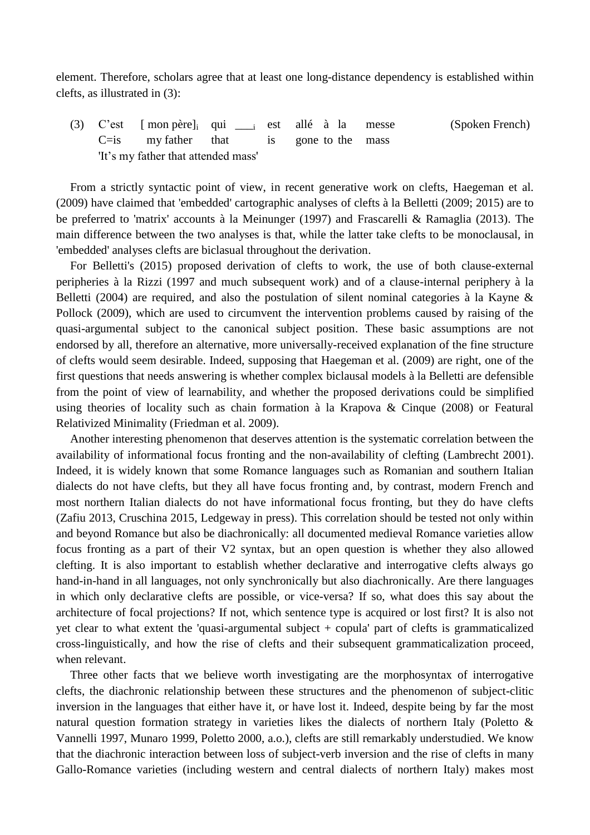element. Therefore, scholars agree that at least one long-distance dependency is established within clefts, as illustrated in (3):

(3) C'est [ mon père]<sup>i</sup> qui \_\_\_<sup>i</sup> est allé à la messe (Spoken French)  $C=$ is my father that is gone to the mass 'It's my father that attended mass'

From a strictly syntactic point of view, in recent generative work on clefts, Haegeman et al. (2009) have claimed that 'embedded' cartographic analyses of clefts à la Belletti (2009; 2015) are to be preferred to 'matrix' accounts à la Meinunger (1997) and Frascarelli & Ramaglia (2013). The main difference between the two analyses is that, while the latter take clefts to be monoclausal, in 'embedded' analyses clefts are biclasual throughout the derivation.

For Belletti's (2015) proposed derivation of clefts to work, the use of both clause-external peripheries à la Rizzi (1997 and much subsequent work) and of a clause-internal periphery à la Belletti (2004) are required, and also the postulation of silent nominal categories à la Kayne & Pollock (2009), which are used to circumvent the intervention problems caused by raising of the quasi-argumental subject to the canonical subject position. These basic assumptions are not endorsed by all, therefore an alternative, more universally-received explanation of the fine structure of clefts would seem desirable. Indeed, supposing that Haegeman et al. (2009) are right, one of the first questions that needs answering is whether complex biclausal models à la Belletti are defensible from the point of view of learnability, and whether the proposed derivations could be simplified using theories of locality such as chain formation à la Krapova & Cinque (2008) or Featural Relativized Minimality (Friedman et al. 2009).

Another interesting phenomenon that deserves attention is the systematic correlation between the availability of informational focus fronting and the non-availability of clefting (Lambrecht 2001). Indeed, it is widely known that some Romance languages such as Romanian and southern Italian dialects do not have clefts, but they all have focus fronting and, by contrast, modern French and most northern Italian dialects do not have informational focus fronting, but they do have clefts (Zafiu 2013, Cruschina 2015, Ledgeway in press). This correlation should be tested not only within and beyond Romance but also be diachronically: all documented medieval Romance varieties allow focus fronting as a part of their V2 syntax, but an open question is whether they also allowed clefting. It is also important to establish whether declarative and interrogative clefts always go hand-in-hand in all languages, not only synchronically but also diachronically. Are there languages in which only declarative clefts are possible, or vice-versa? If so, what does this say about the architecture of focal projections? If not, which sentence type is acquired or lost first? It is also not yet clear to what extent the 'quasi-argumental subject + copula' part of clefts is grammaticalized cross-linguistically, and how the rise of clefts and their subsequent grammaticalization proceed, when relevant.

Three other facts that we believe worth investigating are the morphosyntax of interrogative clefts, the diachronic relationship between these structures and the phenomenon of subject-clitic inversion in the languages that either have it, or have lost it. Indeed, despite being by far the most natural question formation strategy in varieties likes the dialects of northern Italy (Poletto & Vannelli 1997, Munaro 1999, Poletto 2000, a.o.), clefts are still remarkably understudied. We know that the diachronic interaction between loss of subject-verb inversion and the rise of clefts in many Gallo-Romance varieties (including western and central dialects of northern Italy) makes most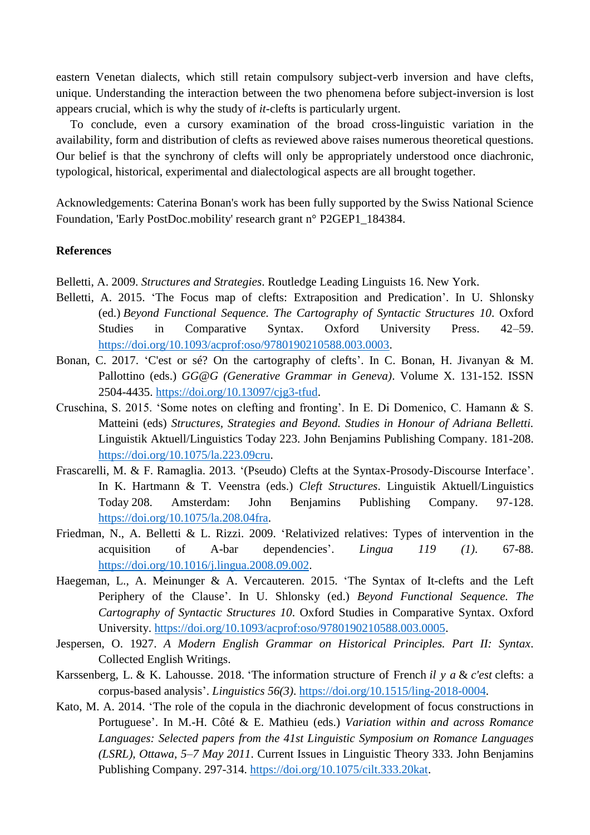eastern Venetan dialects, which still retain compulsory subject-verb inversion and have clefts, unique. Understanding the interaction between the two phenomena before subject-inversion is lost appears crucial, which is why the study of *it*-clefts is particularly urgent.

To conclude, even a cursory examination of the broad cross-linguistic variation in the availability, form and distribution of clefts as reviewed above raises numerous theoretical questions. Our belief is that the synchrony of clefts will only be appropriately understood once diachronic, typological, historical, experimental and dialectological aspects are all brought together.

Acknowledgements: Caterina Bonan's work has been fully supported by the Swiss National Science Foundation, 'Early PostDoc.mobility' research grant n° P2GEP1\_184384.

## **References**

Belletti, A. 2009. *Structures and Strategies*. Routledge Leading Linguists 16. New York.

- Belletti, A. 2015. 'The Focus map of clefts: Extraposition and Predication'. In U. Shlonsky (ed.) *Beyond Functional Sequence. The Cartography of Syntactic Structures 10*. Oxford Studies in Comparative Syntax. Oxford University Press. 42–59. [https://doi.org/10.1093/acprof:oso/9780190210588.003.0003.](https://doi.org/10.1093/acprof:oso/9780190210588.003.0003)
- Bonan, C. 2017. 'C'est or sé? On the cartography of clefts'. In C. Bonan, H. Jivanyan & M. Pallottino (eds.) *GG@G (Generative Grammar in Geneva)*. Volume X. 131-152. ISSN 2504-4435. [https://doi.org/10.13097/cjg3-tfud.](https://doi.org/10.13097/cjg3-tfud)
- Cruschina, S. 2015. 'Some notes on clefting and fronting'. In E. Di Domenico, C. Hamann & S. Matteini (eds) *Structures, Strategies and Beyond. Studies in Honour of Adriana Belletti.* Linguistik Aktuell/Linguistics Today 223. John Benjamins Publishing Company. 181-208. [https://doi.org/10.1075/la.223.09cru.](https://doi.org/10.1075/la.223.09cru)
- Frascarelli, M. & F. Ramaglia. 2013. '(Pseudo) Clefts at the Syntax-Prosody-Discourse Interface'. In K. Hartmann & T. Veenstra (eds.) *Cleft Structures*. Linguistik Aktuell/Linguistics Today 208. Amsterdam: John Benjamins Publishing Company. 97-128. [https://doi.org/10.1075/la.208.04fra.](https://doi.org/10.1075/la.208.04fra)
- Friedman, N., A. Belletti & L. Rizzi. 2009. 'Relativized relatives: Types of intervention in the acquisition of A-bar dependencies'. *Lingua 119 (1)*. 67-88. [https://doi.org/10.1016/j.lingua.2008.09.002.](https://doi.org/10.1016/j.lingua.2008.09.002)
- Haegeman, L., A. Meinunger & A. Vercauteren. 2015. 'The Syntax of It-clefts and the Left Periphery of the Clause'. In U. Shlonsky (ed.) *Beyond Functional Sequence. The Cartography of Syntactic Structures 10*. Oxford Studies in Comparative Syntax. Oxford University. [https://doi.org/10.1093/acprof:oso/9780190210588.003.0005.](https://doi.org/10.1093/acprof:oso/9780190210588.003.0005)
- Jespersen, O. 1927. *A Modern English Grammar on Historical Principles. Part II: Syntax*. Collected English Writings.
- Karssenberg, L. & K. Lahousse. 2018. 'The information structure of French *il y a* & *c'est* clefts: a corpus-based analysis'. *Linguistics 56(3)*. [https://doi.org/10.1515/ling-2018-0004.](https://doi.org/10.1515/ling-2018-0004)
- Kato, M. A. 2014. 'The role of the copula in the diachronic development of focus constructions in Portuguese'. In M.-H. Côté & E. Mathieu (eds.) *Variation within and across Romance Languages: Selected papers from the 41st Linguistic Symposium on Romance Languages (LSRL), Ottawa, 5–7 May 2011*. Current Issues in Linguistic Theory 333. John Benjamins Publishing Company. 297-314. [https://doi.org/10.1075/cilt.333.20kat.](https://doi.org/10.1075/cilt.333.20kat)